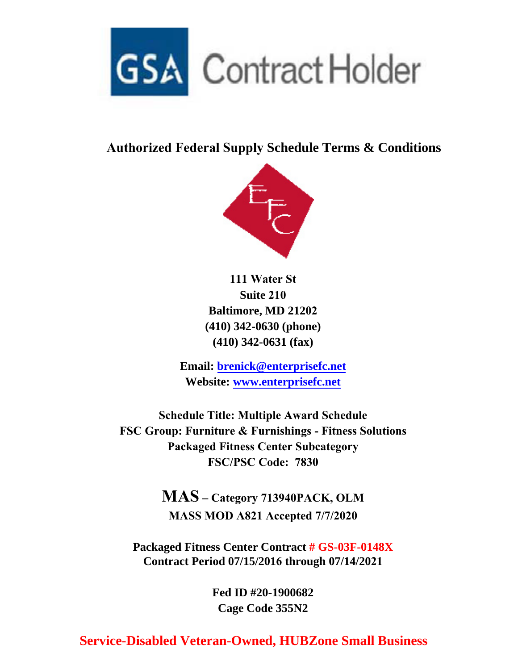

## **Authorized Federal Supply Schedule Terms & Conditions**



**111 Water St Suite 210 Baltimore, MD 21202 (410) 342-0630 (phone) (410) 342-0631 (fax)**

**Email: brenick@enterprisefc.net Website: www.enterprisefc.net**

**Schedule Title: Multiple Award Schedule FSC Group: Furniture & Furnishings - Fitness Solutions Packaged Fitness Center Subcategory FSC/PSC Code: 7830** 

> **MAS – Category 713940PACK, OLM MASS MOD A821 Accepted 7/7/2020**

**Packaged Fitness Center Contract # GS-03F-0148X Contract Period 07/15/2016 through 07/14/2021**

> **Fed ID #20-1900682 Cage Code 355N2**

## **Service-Disabled Veteran-Owned, HUBZone Small Business**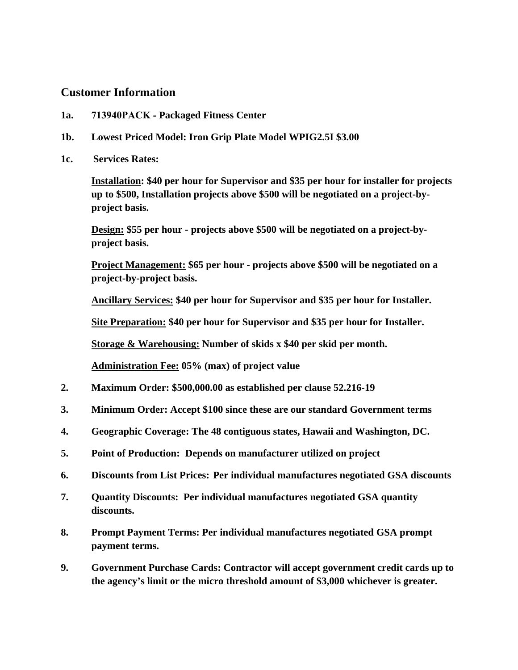## **Customer Information**

- **1a. 713940PACK Packaged Fitness Center**
- **1b. Lowest Priced Model: Iron Grip Plate Model WPIG2.5I \$3.00**
- **1c. Services Rates:**

**Installation: \$40 per hour for Supervisor and \$35 per hour for installer for projects up to \$500, Installation projects above \$500 will be negotiated on a project-byproject basis.** 

**Design: \$55 per hour - projects above \$500 will be negotiated on a project-byproject basis.** 

**Project Management: \$65 per hour - projects above \$500 will be negotiated on a project-by-project basis.** 

**Ancillary Services: \$40 per hour for Supervisor and \$35 per hour for Installer.** 

**Site Preparation: \$40 per hour for Supervisor and \$35 per hour for Installer.** 

**Storage & Warehousing: Number of skids x \$40 per skid per month.** 

**Administration Fee: 05% (max) of project value** 

- **2. Maximum Order: \$500,000.00 as established per clause 52.216-19**
- **3. Minimum Order: Accept \$100 since these are our standard Government terms**
- **4. Geographic Coverage: The 48 contiguous states, Hawaii and Washington, DC.**
- **5. Point of Production: Depends on manufacturer utilized on project**
- **6. Discounts from List Prices: Per individual manufactures negotiated GSA discounts**
- **7. Quantity Discounts: Per individual manufactures negotiated GSA quantity discounts.**
- **8. Prompt Payment Terms: Per individual manufactures negotiated GSA prompt payment terms.**
- **9. Government Purchase Cards: Contractor will accept government credit cards up to the agency's limit or the micro threshold amount of \$3,000 whichever is greater.**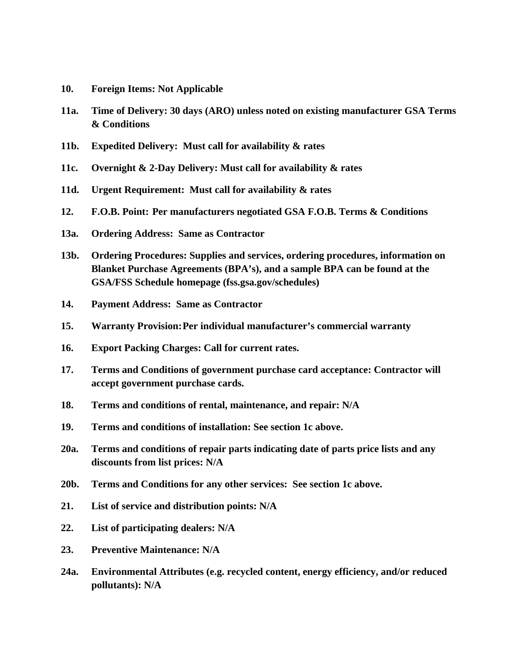- **10. Foreign Items: Not Applicable**
- **11a. Time of Delivery: 30 days (ARO) unless noted on existing manufacturer GSA Terms & Conditions**
- **11b. Expedited Delivery: Must call for availability & rates**
- **11c. Overnight & 2-Day Delivery: Must call for availability & rates**
- **11d. Urgent Requirement: Must call for availability & rates**
- **12. F.O.B. Point: Per manufacturers negotiated GSA F.O.B. Terms & Conditions**
- **13a. Ordering Address: Same as Contractor**
- **13b. Ordering Procedures: Supplies and services, ordering procedures, information on Blanket Purchase Agreements (BPA's), and a sample BPA can be found at the GSA/FSS Schedule homepage (fss.gsa.gov/schedules)**
- **14. Payment Address: Same as Contractor**
- **15. Warranty Provision: Per individual manufacturer's commercial warranty**
- **16. Export Packing Charges: Call for current rates.**
- **17. Terms and Conditions of government purchase card acceptance: Contractor will accept government purchase cards.**
- **18. Terms and conditions of rental, maintenance, and repair: N/A**
- **19. Terms and conditions of installation: See section 1c above.**
- **20a. Terms and conditions of repair parts indicating date of parts price lists and any discounts from list prices: N/A**
- **20b. Terms and Conditions for any other services: See section 1c above.**
- **21. List of service and distribution points: N/A**
- **22. List of participating dealers: N/A**
- **23. Preventive Maintenance: N/A**
- **24a. Environmental Attributes (e.g. recycled content, energy efficiency, and/or reduced pollutants): N/A**